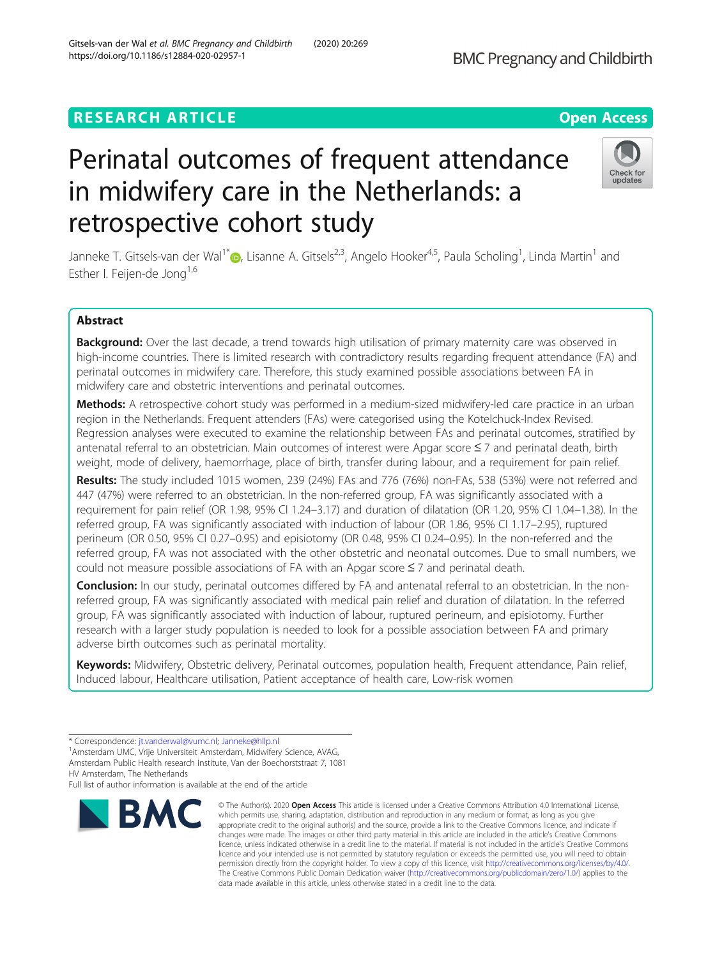# **RESEARCH ARTICLE Example 2014 12:30 The Contract of Contract ACCESS**

# Perinatal outcomes of frequent attendance in midwifery care in the Netherlands: a retrospective cohort study

Janneke T. Gitsels-van der Wal<sup>1\*</sup>®[,](http://orcid.org/0000-0002-5742-7246) Lisanne A. Gitsels<sup>2,3</sup>, Angelo Hooker<sup>4,5</sup>, Paula Scholing<sup>1</sup>, Linda Martin<sup>1</sup> and Esther I. Feijen-de Jong<sup>1,6</sup>

# Abstract

Background: Over the last decade, a trend towards high utilisation of primary maternity care was observed in high-income countries. There is limited research with contradictory results regarding frequent attendance (FA) and perinatal outcomes in midwifery care. Therefore, this study examined possible associations between FA in midwifery care and obstetric interventions and perinatal outcomes.

Methods: A retrospective cohort study was performed in a medium-sized midwifery-led care practice in an urban region in the Netherlands. Frequent attenders (FAs) were categorised using the Kotelchuck-Index Revised. Regression analyses were executed to examine the relationship between FAs and perinatal outcomes, stratified by antenatal referral to an obstetrician. Main outcomes of interest were Apgar score ≤ 7 and perinatal death, birth weight, mode of delivery, haemorrhage, place of birth, transfer during labour, and a requirement for pain relief.

Results: The study included 1015 women, 239 (24%) FAs and 776 (76%) non-FAs, 538 (53%) were not referred and 447 (47%) were referred to an obstetrician. In the non-referred group, FA was significantly associated with a requirement for pain relief (OR 1.98, 95% CI 1.24–3.17) and duration of dilatation (OR 1.20, 95% CI 1.04–1.38). In the referred group, FA was significantly associated with induction of labour (OR 1.86, 95% CI 1.17–2.95), ruptured perineum (OR 0.50, 95% CI 0.27–0.95) and episiotomy (OR 0.48, 95% CI 0.24–0.95). In the non-referred and the referred group, FA was not associated with the other obstetric and neonatal outcomes. Due to small numbers, we could not measure possible associations of FA with an Apgar score  $\leq$  7 and perinatal death.

**Conclusion:** In our study, perinatal outcomes differed by FA and antenatal referral to an obstetrician. In the nonreferred group, FA was significantly associated with medical pain relief and duration of dilatation. In the referred group, FA was significantly associated with induction of labour, ruptured perineum, and episiotomy. Further research with a larger study population is needed to look for a possible association between FA and primary adverse birth outcomes such as perinatal mortality.

Keywords: Midwifery, Obstetric delivery, Perinatal outcomes, population health, Frequent attendance, Pain relief, Induced labour, Healthcare utilisation, Patient acceptance of health care, Low-risk women

Full list of author information is available at the end of the article

**BMC** 

#### © The Author(s), 2020 **Open Access** This article is licensed under a Creative Commons Attribution 4.0 International License, which permits use, sharing, adaptation, distribution and reproduction in any medium or format, as long as you give appropriate credit to the original author(s) and the source, provide a link to the Creative Commons licence, and indicate if changes were made. The images or other third party material in this article are included in the article's Creative Commons licence, unless indicated otherwise in a credit line to the material. If material is not included in the article's Creative Commons licence and your intended use is not permitted by statutory regulation or exceeds the permitted use, you will need to obtain permission directly from the copyright holder. To view a copy of this licence, visit [http://creativecommons.org/licenses/by/4.0/.](http://creativecommons.org/licenses/by/4.0/) The Creative Commons Public Domain Dedication waiver [\(http://creativecommons.org/publicdomain/zero/1.0/](http://creativecommons.org/publicdomain/zero/1.0/)) applies to the data made available in this article, unless otherwise stated in a credit line to the data.







<sup>\*</sup> Correspondence: [jt.vanderwal@vumc.nl](mailto:jt.vanderwal@vumc.nl); [Janneke@hllp.nl](mailto:Janneke@hllp.nl) <sup>1</sup>

<sup>&</sup>lt;sup>1</sup> Amsterdam UMC, Vrije Universiteit Amsterdam, Midwifery Science, AVAG, Amsterdam Public Health research institute, Van der Boechorststraat 7, 1081 HV Amsterdam, The Netherlands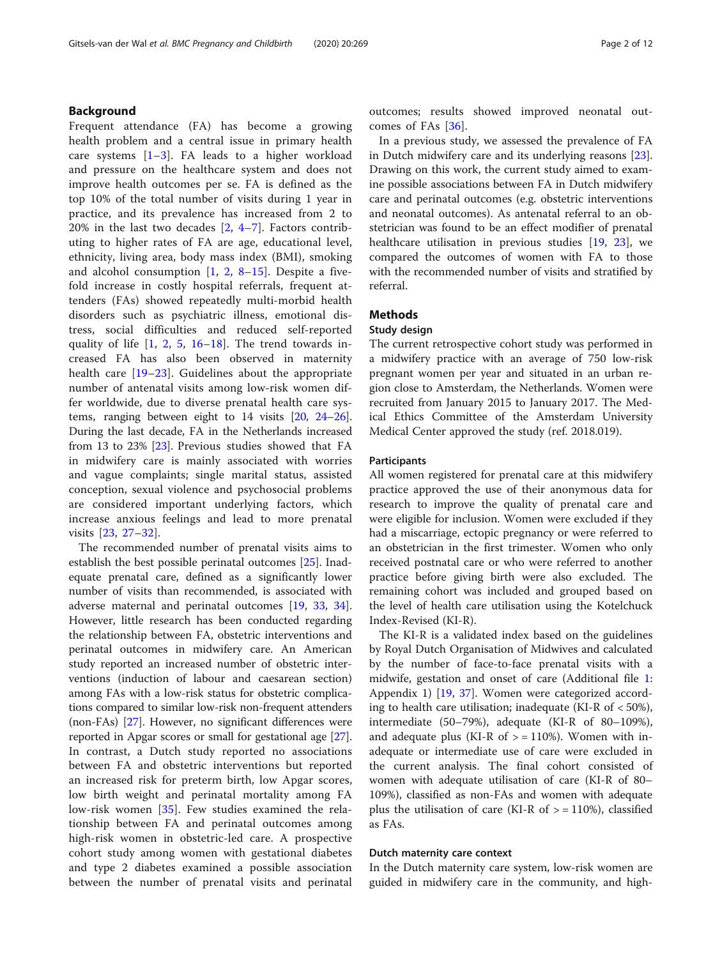# Background

Frequent attendance (FA) has become a growing health problem and a central issue in primary health care systems  $[1-3]$  $[1-3]$  $[1-3]$ . FA leads to a higher workload and pressure on the healthcare system and does not improve health outcomes per se. FA is defined as the top 10% of the total number of visits during 1 year in practice, and its prevalence has increased from 2 to 20% in the last two decades  $[2, 4-7]$  $[2, 4-7]$  $[2, 4-7]$  $[2, 4-7]$  $[2, 4-7]$ . Factors contributing to higher rates of FA are age, educational level, ethnicity, living area, body mass index (BMI), smoking and alcohol consumption  $[1, 2, 8-15]$  $[1, 2, 8-15]$  $[1, 2, 8-15]$  $[1, 2, 8-15]$  $[1, 2, 8-15]$  $[1, 2, 8-15]$  $[1, 2, 8-15]$ . Despite a fivefold increase in costly hospital referrals, frequent attenders (FAs) showed repeatedly multi-morbid health disorders such as psychiatric illness, emotional distress, social difficulties and reduced self-reported quality of life  $\begin{bmatrix} 1, 2, 5, 16-18 \end{bmatrix}$  $\begin{bmatrix} 1, 2, 5, 16-18 \end{bmatrix}$  $\begin{bmatrix} 1, 2, 5, 16-18 \end{bmatrix}$  $\begin{bmatrix} 1, 2, 5, 16-18 \end{bmatrix}$  $\begin{bmatrix} 1, 2, 5, 16-18 \end{bmatrix}$  $\begin{bmatrix} 1, 2, 5, 16-18 \end{bmatrix}$  $\begin{bmatrix} 1, 2, 5, 16-18 \end{bmatrix}$  $\begin{bmatrix} 1, 2, 5, 16-18 \end{bmatrix}$  $\begin{bmatrix} 1, 2, 5, 16-18 \end{bmatrix}$ . The trend towards increased FA has also been observed in maternity health care [[19](#page-10-0)–[23\]](#page-10-0). Guidelines about the appropriate number of antenatal visits among low-risk women differ worldwide, due to diverse prenatal health care systems, ranging between eight to 14 visits [[20,](#page-10-0) [24](#page-10-0)–[26](#page-10-0)]. During the last decade, FA in the Netherlands increased from 13 to 23% [\[23\]](#page-10-0). Previous studies showed that FA in midwifery care is mainly associated with worries and vague complaints; single marital status, assisted conception, sexual violence and psychosocial problems are considered important underlying factors, which increase anxious feelings and lead to more prenatal visits [[23,](#page-10-0) [27](#page-10-0)–[32\]](#page-10-0).

The recommended number of prenatal visits aims to establish the best possible perinatal outcomes [\[25](#page-10-0)]. Inadequate prenatal care, defined as a significantly lower number of visits than recommended, is associated with adverse maternal and perinatal outcomes [[19](#page-10-0), [33](#page-10-0), [34](#page-10-0)]. However, little research has been conducted regarding the relationship between FA, obstetric interventions and perinatal outcomes in midwifery care. An American study reported an increased number of obstetric interventions (induction of labour and caesarean section) among FAs with a low-risk status for obstetric complications compared to similar low-risk non-frequent attenders (non-FAs) [[27](#page-10-0)]. However, no significant differences were reported in Apgar scores or small for gestational age [[27](#page-10-0)]. In contrast, a Dutch study reported no associations between FA and obstetric interventions but reported an increased risk for preterm birth, low Apgar scores, low birth weight and perinatal mortality among FA low-risk women [[35\]](#page-10-0). Few studies examined the relationship between FA and perinatal outcomes among high-risk women in obstetric-led care. A prospective cohort study among women with gestational diabetes and type 2 diabetes examined a possible association between the number of prenatal visits and perinatal outcomes; results showed improved neonatal outcomes of FAs [\[36](#page-10-0)].

In a previous study, we assessed the prevalence of FA in Dutch midwifery care and its underlying reasons [\[23](#page-10-0)]. Drawing on this work, the current study aimed to examine possible associations between FA in Dutch midwifery care and perinatal outcomes (e.g. obstetric interventions and neonatal outcomes). As antenatal referral to an obstetrician was found to be an effect modifier of prenatal healthcare utilisation in previous studies [\[19,](#page-10-0) [23](#page-10-0)], we compared the outcomes of women with FA to those with the recommended number of visits and stratified by referral.

# **Methods**

# Study design

The current retrospective cohort study was performed in a midwifery practice with an average of 750 low-risk pregnant women per year and situated in an urban region close to Amsterdam, the Netherlands. Women were recruited from January 2015 to January 2017. The Medical Ethics Committee of the Amsterdam University Medical Center approved the study (ref. 2018.019).

#### Participants

All women registered for prenatal care at this midwifery practice approved the use of their anonymous data for research to improve the quality of prenatal care and were eligible for inclusion. Women were excluded if they had a miscarriage, ectopic pregnancy or were referred to an obstetrician in the first trimester. Women who only received postnatal care or who were referred to another practice before giving birth were also excluded. The remaining cohort was included and grouped based on the level of health care utilisation using the Kotelchuck Index-Revised (KI-R).

The KI-R is a validated index based on the guidelines by Royal Dutch Organisation of Midwives and calculated by the number of face-to-face prenatal visits with a midwife, gestation and onset of care (Additional file [1](#page-9-0): Appendix 1) [\[19](#page-10-0), [37\]](#page-10-0). Women were categorized according to health care utilisation; inadequate (KI-R of  $<$  50%), intermediate (50–79%), adequate (KI-R of 80–109%), and adequate plus (KI-R of  $>$  = 110%). Women with inadequate or intermediate use of care were excluded in the current analysis. The final cohort consisted of women with adequate utilisation of care (KI-R of 80– 109%), classified as non-FAs and women with adequate plus the utilisation of care (KI-R of  $>$  = 110%), classified as FAs.

#### Dutch maternity care context

In the Dutch maternity care system, low-risk women are guided in midwifery care in the community, and high-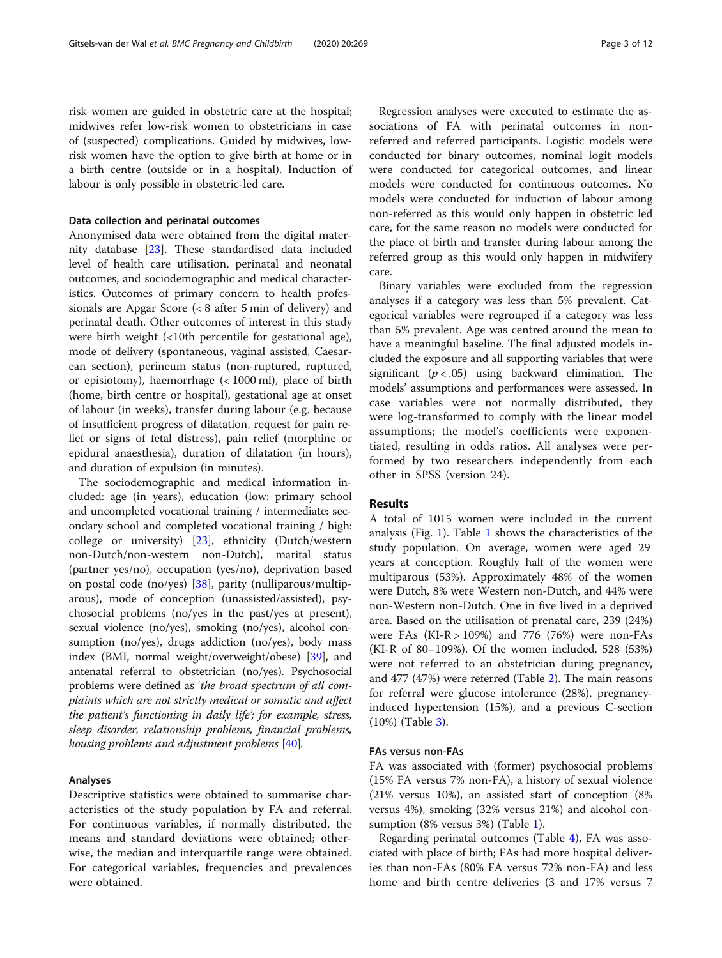risk women are guided in obstetric care at the hospital; midwives refer low-risk women to obstetricians in case of (suspected) complications. Guided by midwives, lowrisk women have the option to give birth at home or in a birth centre (outside or in a hospital). Induction of labour is only possible in obstetric-led care.

#### Data collection and perinatal outcomes

Anonymised data were obtained from the digital maternity database [[23](#page-10-0)]. These standardised data included level of health care utilisation, perinatal and neonatal outcomes, and sociodemographic and medical characteristics. Outcomes of primary concern to health professionals are Apgar Score (< 8 after 5 min of delivery) and perinatal death. Other outcomes of interest in this study were birth weight (<10th percentile for gestational age), mode of delivery (spontaneous, vaginal assisted, Caesarean section), perineum status (non-ruptured, ruptured, or episiotomy), haemorrhage (< 1000 ml), place of birth (home, birth centre or hospital), gestational age at onset of labour (in weeks), transfer during labour (e.g. because of insufficient progress of dilatation, request for pain relief or signs of fetal distress), pain relief (morphine or epidural anaesthesia), duration of dilatation (in hours), and duration of expulsion (in minutes).

The sociodemographic and medical information included: age (in years), education (low: primary school and uncompleted vocational training / intermediate: secondary school and completed vocational training / high: college or university) [[23](#page-10-0)], ethnicity (Dutch/western non-Dutch/non-western non-Dutch), marital status (partner yes/no), occupation (yes/no), deprivation based on postal code (no/yes) [\[38](#page-10-0)], parity (nulliparous/multiparous), mode of conception (unassisted/assisted), psychosocial problems (no/yes in the past/yes at present), sexual violence (no/yes), smoking (no/yes), alcohol consumption (no/yes), drugs addiction (no/yes), body mass index (BMI, normal weight/overweight/obese) [\[39\]](#page-10-0), and antenatal referral to obstetrician (no/yes). Psychosocial problems were defined as 'the broad spectrum of all complaints which are not strictly medical or somatic and affect the patient's functioning in daily life'; for example, stress, sleep disorder, relationship problems, financial problems, housing problems and adjustment problems [[40](#page-10-0)].

#### Analyses

Descriptive statistics were obtained to summarise characteristics of the study population by FA and referral. For continuous variables, if normally distributed, the means and standard deviations were obtained; otherwise, the median and interquartile range were obtained. For categorical variables, frequencies and prevalences were obtained.

Regression analyses were executed to estimate the associations of FA with perinatal outcomes in nonreferred and referred participants. Logistic models were conducted for binary outcomes, nominal logit models were conducted for categorical outcomes, and linear models were conducted for continuous outcomes. No models were conducted for induction of labour among non-referred as this would only happen in obstetric led care, for the same reason no models were conducted for the place of birth and transfer during labour among the referred group as this would only happen in midwifery care.

Binary variables were excluded from the regression analyses if a category was less than 5% prevalent. Categorical variables were regrouped if a category was less than 5% prevalent. Age was centred around the mean to have a meaningful baseline. The final adjusted models included the exposure and all supporting variables that were significant  $(p < .05)$  using backward elimination. The models' assumptions and performances were assessed. In case variables were not normally distributed, they were log-transformed to comply with the linear model assumptions; the model's coefficients were exponentiated, resulting in odds ratios. All analyses were performed by two researchers independently from each other in SPSS (version 24).

# Results

A total of 1015 women were included in the current analysis (Fig. [1](#page-3-0)). Table [1](#page-4-0) shows the characteristics of the study population. On average, women were aged 29 years at conception. Roughly half of the women were multiparous (53%). Approximately 48% of the women were Dutch, 8% were Western non-Dutch, and 44% were non-Western non-Dutch. One in five lived in a deprived area. Based on the utilisation of prenatal care, 239 (24%) were FAs  $(KI-R > 109%)$  and 776 (76%) were non-FAs (KI-R of 80–109%). Of the women included, 528 (53%) were not referred to an obstetrician during pregnancy, and 477 (47%) were referred (Table [2](#page-5-0)). The main reasons for referral were glucose intolerance (28%), pregnancyinduced hypertension (15%), and a previous C-section (10%) (Table [3\)](#page-6-0).

# FAs versus non-FAs

FA was associated with (former) psychosocial problems (15% FA versus 7% non-FA), a history of sexual violence (21% versus 10%), an assisted start of conception (8% versus 4%), smoking (32% versus 21%) and alcohol consumption (8% versus 3%) (Table [1\)](#page-4-0).

Regarding perinatal outcomes (Table [4\)](#page-6-0), FA was associated with place of birth; FAs had more hospital deliveries than non-FAs (80% FA versus 72% non-FA) and less home and birth centre deliveries (3 and 17% versus 7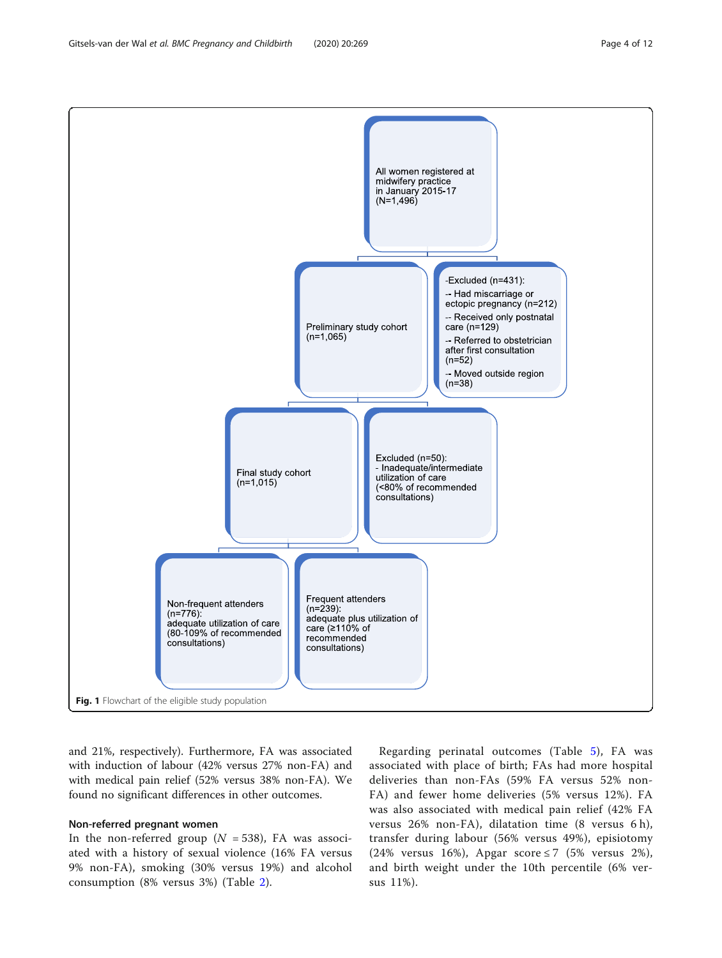<span id="page-3-0"></span>

and 21%, respectively). Furthermore, FA was associated with induction of labour (42% versus 27% non-FA) and with medical pain relief (52% versus 38% non-FA). We found no significant differences in other outcomes.

# Non-referred pregnant women

In the non-referred group ( $N = 538$ ), FA was associated with a history of sexual violence (16% FA versus 9% non-FA), smoking (30% versus 19%) and alcohol consumption (8% versus 3%) (Table [2](#page-5-0)).

Regarding perinatal outcomes (Table [5](#page-7-0)), FA was associated with place of birth; FAs had more hospital deliveries than non-FAs (59% FA versus 52% non-FA) and fewer home deliveries (5% versus 12%). FA was also associated with medical pain relief (42% FA versus 26% non-FA), dilatation time (8 versus 6 h), transfer during labour (56% versus 49%), episiotomy (24% versus 16%), Apgar score ≤ 7 (5% versus 2%), and birth weight under the 10th percentile (6% versus 11%).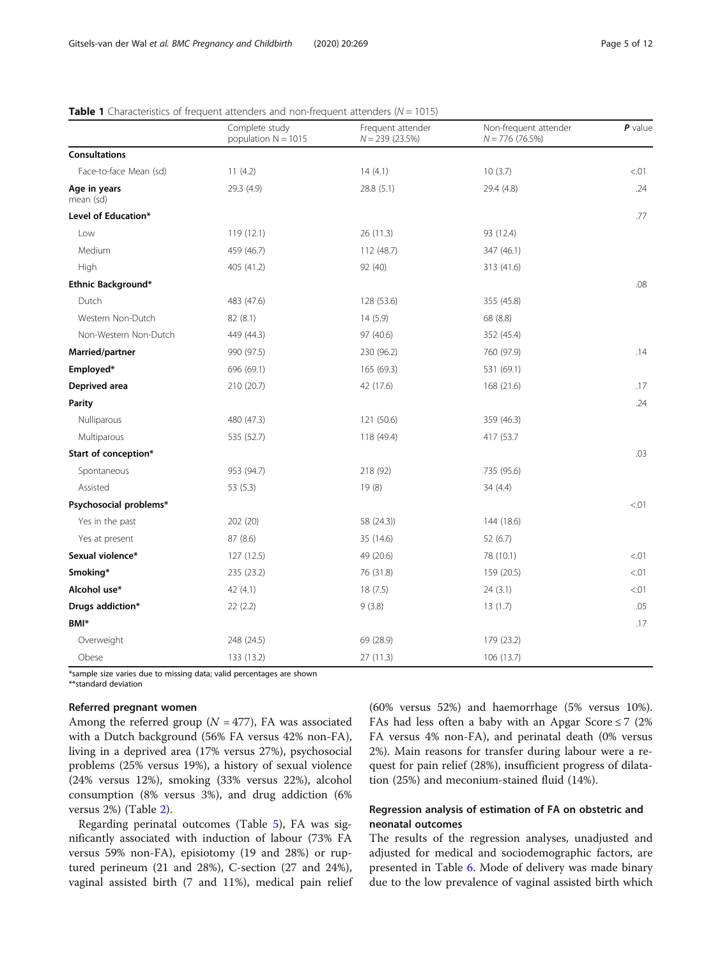|                           | Complete study<br>population $N = 1015$ | Frequent attender<br>$N = 239(23.5%)$ | Non-frequent attender<br>$N = 776(76.5%)$ | $P$ value |
|---------------------------|-----------------------------------------|---------------------------------------|-------------------------------------------|-----------|
| <b>Consultations</b>      |                                         |                                       |                                           |           |
| Face-to-face Mean (sd)    | 11(4.2)                                 | 14(4.1)                               | 10(3.7)                                   | < 0.01    |
| Age in years<br>mean (sd) | 29.3 (4.9)                              | 28.8 (5.1)                            | 29.4 (4.8)                                | .24       |
| Level of Education*       |                                         |                                       |                                           | .77       |
| Low                       | 119 (12.1)                              | 26 (11.3)                             | 93 (12.4)                                 |           |
| Medium                    | 459 (46.7)                              | 112 (48.7)                            | 347 (46.1)                                |           |
| High                      | 405 (41.2)                              | 92 (40)                               | 313 (41.6)                                |           |
| Ethnic Background*        |                                         |                                       |                                           | .08       |
| Dutch                     | 483 (47.6)                              | 128 (53.6)                            | 355 (45.8)                                |           |
| Western Non-Dutch         | 82 (8.1)                                | 14(5.9)                               | 68 (8.8)                                  |           |
| Non-Western Non-Dutch     | 449 (44.3)                              | 97 (40.6)                             | 352 (45.4)                                |           |
| Married/partner           | 990 (97.5)                              | 230 (96.2)                            | 760 (97.9)                                | .14       |
| Employed*                 | 696 (69.1)                              | 165 (69.3)                            | 531 (69.1)                                |           |
| Deprived area             | 210 (20.7)                              | 42 (17.6)                             | 168 (21.6)                                | .17       |
| Parity                    |                                         |                                       |                                           | .24       |
| Nulliparous               | 480 (47.3)                              | 121 (50.6)                            | 359 (46.3)                                |           |
| Multiparous               | 535 (52.7)                              | 118 (49.4)                            | 417 (53.7                                 |           |
| Start of conception*      |                                         |                                       |                                           | .03       |
| Spontaneous               | 953 (94.7)                              | 218 (92)                              | 735 (95.6)                                |           |
| Assisted                  | 53(5.3)                                 | 19(8)                                 | 34 (4.4)                                  |           |
| Psychosocial problems*    |                                         |                                       |                                           | < 0.01    |
| Yes in the past           | 202 (20)                                | 58 (24.3))                            | 144 (18.6)                                |           |
| Yes at present            | 87 (8.6)                                | 35 (14.6)                             | 52 (6.7)                                  |           |
| Sexual violence*          | 127(12.5)                               | 49 (20.6)                             | 78 (10.1)                                 | < 0.01    |
| Smoking*                  | 235 (23.2)                              | 76 (31.8)                             | 159 (20.5)                                | < 01      |
| Alcohol use*              | 42(4.1)                                 | 18(7.5)                               | 24(3.1)                                   | < 01      |
| Drugs addiction*          | 22(2.2)                                 | 9(3.8)                                | 13(1.7)                                   | .05       |
| BMI*                      |                                         |                                       |                                           | .17       |
| Overweight                | 248 (24.5)                              | 69 (28.9)                             | 179 (23.2)                                |           |
| Obese                     | 133 (13.2)                              | 27 (11.3)                             | 106 (13.7)                                |           |

<span id="page-4-0"></span>**Table 1** Characteristics of frequent attenders and non-frequent attenders ( $N = 1015$ )

\*sample size varies due to missing data; valid percentages are shown

\*\*standard deviation

# Referred pregnant women

Among the referred group ( $N = 477$ ), FA was associated with a Dutch background (56% FA versus 42% non-FA), living in a deprived area (17% versus 27%), psychosocial problems (25% versus 19%), a history of sexual violence (24% versus 12%), smoking (33% versus 22%), alcohol consumption (8% versus 3%), and drug addiction (6% versus 2%) (Table [2\)](#page-5-0).

Regarding perinatal outcomes (Table [5](#page-7-0)), FA was significantly associated with induction of labour (73% FA versus 59% non-FA), episiotomy (19 and 28%) or ruptured perineum (21 and 28%), C-section (27 and 24%), vaginal assisted birth (7 and 11%), medical pain relief

(60% versus 52%) and haemorrhage (5% versus 10%). FAs had less often a baby with an Apgar Score  $\leq$  7 (2%) FA versus 4% non-FA), and perinatal death (0% versus 2%). Main reasons for transfer during labour were a request for pain relief (28%), insufficient progress of dilatation (25%) and meconium-stained fluid (14%).

# Regression analysis of estimation of FA on obstetric and neonatal outcomes

The results of the regression analyses, unadjusted and adjusted for medical and sociodemographic factors, are presented in Table [6](#page-8-0). Mode of delivery was made binary due to the low prevalence of vaginal assisted birth which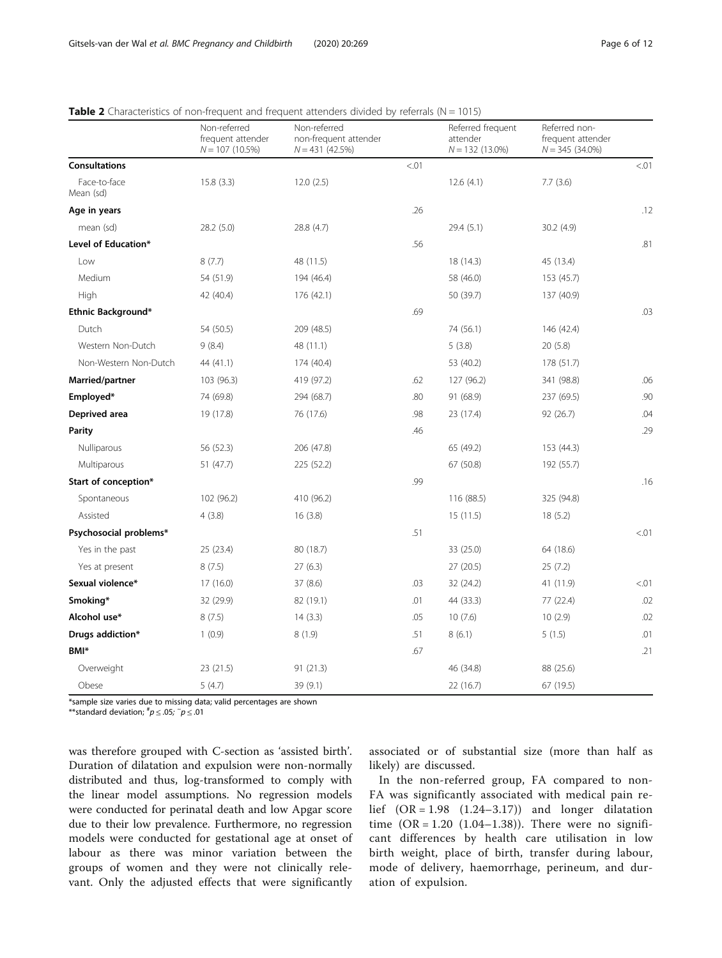<span id="page-5-0"></span>

| <b>Table 2</b> Characteristics of non-frequent and frequent attenders divided by referrals ( $N = 1015$ ) |  |  |
|-----------------------------------------------------------------------------------------------------------|--|--|
|-----------------------------------------------------------------------------------------------------------|--|--|

|                           | Non-referred<br>frequent attender<br>$N = 107(10.5%)$ | Non-referred<br>non-frequent attender<br>$N = 431(42.5%)$ |      | Referred frequent<br>attender<br>$N = 132(13.0\%)$ | Referred non-<br>frequent attender<br>$N = 345(34.0\%)$ |      |
|---------------------------|-------------------------------------------------------|-----------------------------------------------------------|------|----------------------------------------------------|---------------------------------------------------------|------|
| <b>Consultations</b>      |                                                       |                                                           | < 01 |                                                    |                                                         | < 01 |
| Face-to-face<br>Mean (sd) | 15.8(3.3)                                             | 12.0(2.5)                                                 |      | 12.6(4.1)                                          | 7.7(3.6)                                                |      |
| Age in years              |                                                       |                                                           | .26  |                                                    |                                                         | .12  |
| mean (sd)                 | 28.2 (5.0)                                            | 28.8 (4.7)                                                |      | 29.4 (5.1)                                         | 30.2 (4.9)                                              |      |
| Level of Education*       |                                                       |                                                           | .56  |                                                    |                                                         | .81  |
| Low                       | 8(7.7)                                                | 48 (11.5)                                                 |      | 18 (14.3)                                          | 45 (13.4)                                               |      |
| Medium                    | 54 (51.9)                                             | 194 (46.4)                                                |      | 58 (46.0)                                          | 153 (45.7)                                              |      |
| High                      | 42 (40.4)                                             | 176 (42.1)                                                |      | 50 (39.7)                                          | 137 (40.9)                                              |      |
| Ethnic Background*        |                                                       |                                                           | .69  |                                                    |                                                         | .03  |
| Dutch                     | 54 (50.5)                                             | 209 (48.5)                                                |      | 74 (56.1)                                          | 146 (42.4)                                              |      |
| Western Non-Dutch         | 9(8.4)                                                | 48 (11.1)                                                 |      | 5(3.8)                                             | 20 (5.8)                                                |      |
| Non-Western Non-Dutch     | 44 (41.1)                                             | 174 (40.4)                                                |      | 53 (40.2)                                          | 178 (51.7)                                              |      |
| Married/partner           | 103 (96.3)                                            | 419 (97.2)                                                | .62  | 127 (96.2)                                         | 341 (98.8)                                              | .06  |
| Employed*                 | 74 (69.8)                                             | 294 (68.7)                                                | .80  | 91 (68.9)                                          | 237 (69.5)                                              | .90  |
| Deprived area             | 19 (17.8)                                             | 76 (17.6)                                                 | .98  | 23 (17.4)                                          | 92 (26.7)                                               | .04  |
| Parity                    |                                                       |                                                           | .46  |                                                    |                                                         | .29  |
| Nulliparous               | 56 (52.3)                                             | 206 (47.8)                                                |      | 65 (49.2)                                          | 153 (44.3)                                              |      |
| Multiparous               | 51 (47.7)                                             | 225 (52.2)                                                |      | 67 (50.8)                                          | 192 (55.7)                                              |      |
| Start of conception*      |                                                       |                                                           | .99  |                                                    |                                                         | .16  |
| Spontaneous               | 102 (96.2)                                            | 410 (96.2)                                                |      | 116 (88.5)                                         | 325 (94.8)                                              |      |
| Assisted                  | 4(3.8)                                                | 16(3.8)                                                   |      | 15(11.5)                                           | 18(5.2)                                                 |      |
| Psychosocial problems*    |                                                       |                                                           | .51  |                                                    |                                                         | < 01 |
| Yes in the past           | 25 (23.4)                                             | 80 (18.7)                                                 |      | 33 (25.0)                                          | 64 (18.6)                                               |      |
| Yes at present            | 8(7.5)                                                | 27(6.3)                                                   |      | 27 (20.5)                                          | 25(7.2)                                                 |      |
| Sexual violence*          | 17(16.0)                                              | 37 (8.6)                                                  | .03  | 32 (24.2)                                          | 41 (11.9)                                               | < 01 |
| Smoking*                  | 32 (29.9)                                             | 82 (19.1)                                                 | .01  | 44 (33.3)                                          | 77 (22.4)                                               | .02  |
| Alcohol use*              | 8(7.5)                                                | 14(3.3)                                                   | .05  | 10(7.6)                                            | 10(2.9)                                                 | .02  |
| Drugs addiction*          | 1(0.9)                                                | 8(1.9)                                                    | .51  | 8(6.1)                                             | 5(1.5)                                                  | .01  |
| BMI*                      |                                                       |                                                           | .67  |                                                    |                                                         | .21  |
| Overweight                | 23 (21.5)                                             | 91 (21.3)                                                 |      | 46 (34.8)                                          | 88 (25.6)                                               |      |
| Obese                     | 5(4.7)                                                | 39 (9.1)                                                  |      | 22 (16.7)                                          | 67 (19.5)                                               |      |

\*sample size varies due to missing data; valid percentages are shown

\*\*standard deviation;  $^{*}p \leq .05$ ;  $^{*}p \leq .01$ 

was therefore grouped with C-section as 'assisted birth'. Duration of dilatation and expulsion were non-normally distributed and thus, log-transformed to comply with the linear model assumptions. No regression models were conducted for perinatal death and low Apgar score due to their low prevalence. Furthermore, no regression models were conducted for gestational age at onset of labour as there was minor variation between the groups of women and they were not clinically relevant. Only the adjusted effects that were significantly associated or of substantial size (more than half as likely) are discussed.

In the non-referred group, FA compared to non-FA was significantly associated with medical pain relief  $(OR = 1.98 (1.24-3.17))$  and longer dilatation time  $(OR = 1.20 (1.04 - 1.38))$ . There were no significant differences by health care utilisation in low birth weight, place of birth, transfer during labour, mode of delivery, haemorrhage, perineum, and duration of expulsion.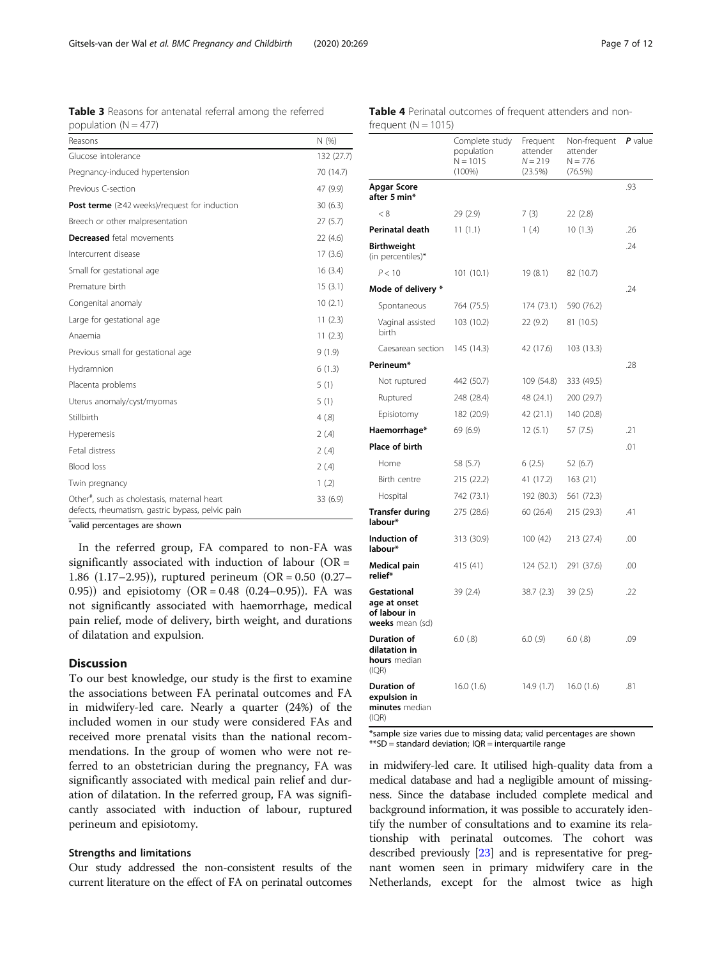<span id="page-6-0"></span>

| Table 3 Reasons for antenatal referral among the referred<br>population $(N = 477)$ |            |  |  |  |
|-------------------------------------------------------------------------------------|------------|--|--|--|
| Reasons                                                                             | N(96)      |  |  |  |
| Glucose intolerance                                                                 | 132 (27.7) |  |  |  |
| Pregnancy-induced hypertension                                                      | 70 (14.7)  |  |  |  |
| Previous C-section                                                                  | 47 (9.9)   |  |  |  |

| LICAIONS C-SCCIINII                                                                                          | →/ (フ.フ) |
|--------------------------------------------------------------------------------------------------------------|----------|
| <b>Post terme</b> $(242 \text{ weeks})/request$ for induction                                                | 30(6.3)  |
| Breech or other malpresentation                                                                              | 27(5.7)  |
| <b>Decreased</b> fetal movements                                                                             | 22 (4.6) |
| Intercurrent disease                                                                                         | 17(3.6)  |
| Small for gestational age                                                                                    | 16(3.4)  |
| Premature birth                                                                                              | 15(3.1)  |
| Congenital anomaly                                                                                           | 10(2.1)  |
| Large for gestational age                                                                                    | 11(2.3)  |
| Anaemia                                                                                                      | 11(2.3)  |
| Previous small for gestational age                                                                           | 9(1.9)   |
| Hydramnion                                                                                                   | 6(1.3)   |
| Placenta problems                                                                                            | 5(1)     |
| Uterus anomaly/cyst/myomas                                                                                   | 5(1)     |
| Stillbirth                                                                                                   | 4(.8)    |
| Hyperemesis                                                                                                  | 2(4)     |
| Fetal distress                                                                                               | 2(4)     |
| <b>Blood loss</b>                                                                                            | 2(4)     |
| Twin pregnancy                                                                                               | 1(.2)    |
| Other <sup>#</sup> , such as cholestasis, maternal heart<br>defects, rheumatism, gastric bypass, pelvic pain | 33 (6.9) |

\* valid percentages are shown

In the referred group, FA compared to non-FA was significantly associated with induction of labour ( $OR =$ 1.86 (1.17–2.95)), ruptured perineum (OR = 0.50 (0.27– 0.95)) and episiotomy  $(OR = 0.48 (0.24 - 0.95))$ . FA was not significantly associated with haemorrhage, medical pain relief, mode of delivery, birth weight, and durations of dilatation and expulsion.

# **Discussion**

To our best knowledge, our study is the first to examine the associations between FA perinatal outcomes and FA in midwifery-led care. Nearly a quarter (24%) of the included women in our study were considered FAs and received more prenatal visits than the national recommendations. In the group of women who were not referred to an obstetrician during the pregnancy, FA was significantly associated with medical pain relief and duration of dilatation. In the referred group, FA was significantly associated with induction of labour, ruptured perineum and episiotomy.

# Strengths and limitations

Our study addressed the non-consistent results of the current literature on the effect of FA on perinatal outcomes

|                                                                       | Complete study<br>population<br>$N = 1015$<br>$(100\%)$ | Frequent<br>attender<br>$N = 219$<br>(23.5%) | Non-frequent<br>attender<br>$N = 776$<br>$(76.5\%)$ | $P$ value |
|-----------------------------------------------------------------------|---------------------------------------------------------|----------------------------------------------|-----------------------------------------------------|-----------|
| <b>Apgar Score</b><br>after 5 min*                                    |                                                         |                                              |                                                     | .93       |
| < 8                                                                   | 29 (2.9)                                                | 7(3)                                         | 22 (2.8)                                            |           |
| Perinatal death                                                       | 11(1.1)                                                 | 1(4)                                         | 10(1.3)                                             | .26       |
| <b>Birthweight</b><br>(in percentiles)*                               |                                                         |                                              |                                                     | .24       |
| P < 10                                                                | 101(10.1)                                               | 19(8.1)                                      | 82 (10.7)                                           |           |
| Mode of delivery *                                                    |                                                         |                                              |                                                     | .24       |
| Spontaneous                                                           | 764 (75.5)                                              | 174 (73.1)                                   | 590 (76.2)                                          |           |
| Vaginal assisted<br>birth                                             | 103 (10.2)                                              | 22 (9.2)                                     | 81 (10.5)                                           |           |
| Caesarean section                                                     | 145 (14.3)                                              | 42 (17.6)                                    | 103 (13.3)                                          |           |
| Perineum*                                                             |                                                         |                                              |                                                     | .28       |
| Not ruptured                                                          | 442 (50.7)                                              | 109 (54.8)                                   | 333 (49.5)                                          |           |
| Ruptured                                                              | 248 (28.4)                                              | 48 (24.1)                                    | 200 (29.7)                                          |           |
| Episiotomy                                                            | 182 (20.9)                                              | 42 (21.1)                                    | 140 (20.8)                                          |           |
| Haemorrhage*                                                          | 69 (6.9)                                                | 12(5.1)                                      | 57 (7.5)                                            | .21       |
| Place of birth                                                        |                                                         |                                              |                                                     | .01       |
| Home                                                                  | 58 (5.7)                                                | 6(2.5)                                       | 52 (6.7)                                            |           |
| Birth centre                                                          | 215 (22.2)                                              | 41 (17.2)                                    | 163 (21)                                            |           |
| Hospital                                                              | 742 (73.1)                                              | 192 (80.3)                                   | 561 (72.3)                                          |           |
| <b>Transfer during</b><br>labour*                                     | 275 (28.6)                                              | 60 (26.4)                                    | 215 (29.3)                                          | .41       |
| Induction of<br>labour*                                               | 313 (30.9)                                              | 100(42)                                      | 213 (27.4)                                          | .00       |
| Medical pain<br>relief*                                               | 415 (41)                                                | 124 (52.1)                                   | 291 (37.6)                                          | .00       |
| <b>Gestational</b><br>age at onset<br>of labour in<br>weeks mean (sd) | 39 (2.4)                                                | 38.7 (2.3)                                   | 39 (2.5)                                            | .22       |
| <b>Duration of</b><br>dilatation in<br>hours median<br>(IQR)          | $6.0$ $(.8)$                                            | $6.0$ $(.9)$                                 | $6.0$ $(.8)$                                        | .09       |
| <b>Duration of</b><br>expulsion in<br>minutes median<br>(IOR)         | 16.0(1.6)                                               | 14.9(1.7)                                    | 16.0(1.6)                                           | .81       |

\*sample size varies due to missing data; valid percentages are shown \*\*SD = standard deviation; IQR = interquartile range

in midwifery-led care. It utilised high-quality data from a medical database and had a negligible amount of missingness. Since the database included complete medical and background information, it was possible to accurately identify the number of consultations and to examine its relationship with perinatal outcomes. The cohort was described previously [\[23\]](#page-10-0) and is representative for pregnant women seen in primary midwifery care in the Netherlands, except for the almost twice as high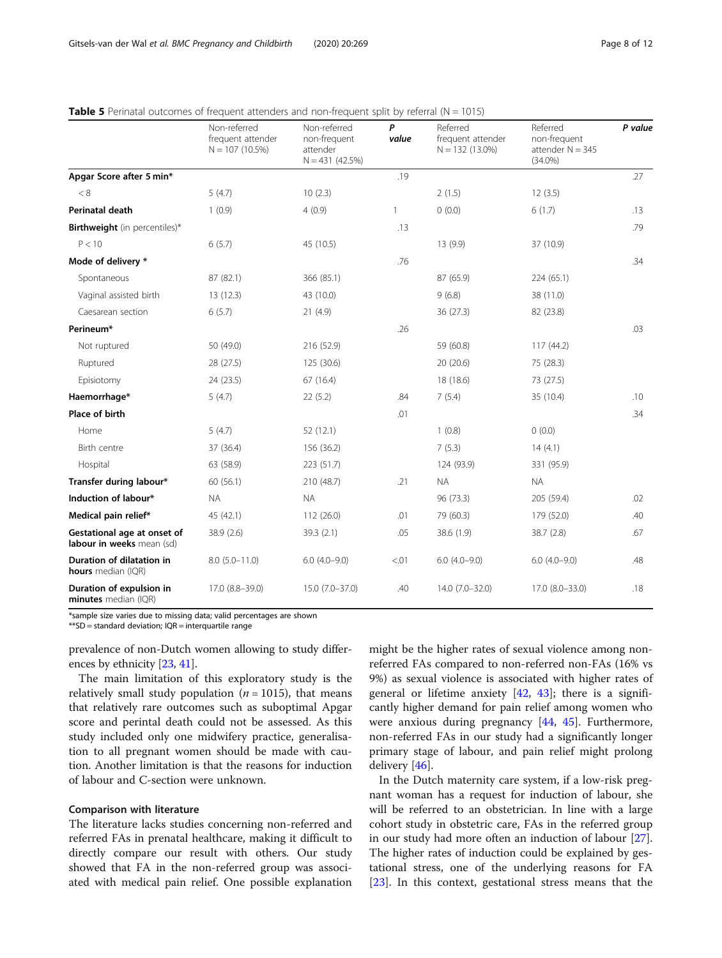|                                                          | Non-referred<br>frequent attender<br>$N = 107(10.5%)$ | Non-referred<br>non-frequent<br>attender<br>$N = 431(42.5%)$ | P<br>value | Referred<br>frequent attender<br>$N = 132(13.0\%)$ | Referred<br>non-frequent<br>attender $N = 345$<br>$(34.0\%)$ | P value |
|----------------------------------------------------------|-------------------------------------------------------|--------------------------------------------------------------|------------|----------------------------------------------------|--------------------------------------------------------------|---------|
| Apgar Score after 5 min*                                 |                                                       |                                                              | .19        |                                                    |                                                              | .27     |
| < 8                                                      | 5(4.7)                                                | 10(2.3)                                                      |            | 2(1.5)                                             | 12(3.5)                                                      |         |
| <b>Perinatal death</b>                                   | 1(0.9)                                                | 4(0.9)                                                       |            | 0(0.0)                                             | 6(1.7)                                                       | .13     |
| Birthweight (in percentiles)*                            |                                                       |                                                              | .13        |                                                    |                                                              | .79     |
| P < 10                                                   | 6(5.7)                                                | 45 (10.5)                                                    |            | 13 (9.9)                                           | 37 (10.9)                                                    |         |
| Mode of delivery *                                       |                                                       |                                                              | .76        |                                                    |                                                              | .34     |
| Spontaneous                                              | 87 (82.1)                                             | 366 (85.1)                                                   |            | 87 (65.9)                                          | 224(65.1)                                                    |         |
| Vaginal assisted birth                                   | 13 (12.3)                                             | 43 (10.0)                                                    |            | 9(6.8)                                             | 38 (11.0)                                                    |         |
| Caesarean section                                        | 6(5.7)                                                | 21(4.9)                                                      |            | 36(27.3)                                           | 82 (23.8)                                                    |         |
| Perineum*                                                |                                                       |                                                              | .26        |                                                    |                                                              | .03     |
| Not ruptured                                             | 50 (49.0)                                             | 216 (52.9)                                                   |            | 59 (60.8)                                          | 117 (44.2)                                                   |         |
| Ruptured                                                 | 28 (27.5)                                             | 125 (30.6)                                                   |            | 20 (20.6)                                          | 75 (28.3)                                                    |         |
| Episiotomy                                               | 24 (23.5)                                             | 67 (16.4)                                                    |            | 18 (18.6)                                          | 73 (27.5)                                                    |         |
| Haemorrhage*                                             | 5(4.7)                                                | 22(5.2)                                                      | .84        | 7(5.4)                                             | 35 (10.4)                                                    | .10     |
| Place of birth                                           |                                                       |                                                              | .01        |                                                    |                                                              | .34     |
| Home                                                     | 5(4.7)                                                | 52(12.1)                                                     |            | 1(0.8)                                             | (0.0)                                                        |         |
| Birth centre                                             | 37 (36.4)                                             | 156 (36.2)                                                   |            | 7(5.3)                                             | 14(4.1)                                                      |         |
| Hospital                                                 | 63 (58.9)                                             | 223 (51.7)                                                   |            | 124 (93.9)                                         | 331 (95.9)                                                   |         |
| Transfer during labour*                                  | 60 (56.1)                                             | 210 (48.7)                                                   | .21        | <b>NA</b>                                          | <b>NA</b>                                                    |         |
| Induction of labour*                                     | <b>NA</b>                                             | <b>NA</b>                                                    |            | 96 (73.3)                                          | 205 (59.4)                                                   | .02     |
| Medical pain relief*                                     | 45 (42.1)                                             | 112 (26.0)                                                   | .01        | 79 (60.3)                                          | 179 (52.0)                                                   | .40     |
| Gestational age at onset of<br>labour in weeks mean (sd) | 38.9 (2.6)                                            | 39.3(2.1)                                                    | .05        | 38.6 (1.9)                                         | 38.7 (2.8)                                                   | .67     |
| Duration of dilatation in<br><b>hours</b> median (IQR)   | $8.0$ (5.0-11.0)                                      | $6.0$ $(4.0-9.0)$                                            | < 01       | $6.0$ $(4.0-9.0)$                                  | $6.0$ $(4.0-9.0)$                                            | .48     |
| Duration of expulsion in<br>minutes median (IQR)         | 17.0 (8.8-39.0)                                       | 15.0 (7.0-37.0)                                              | .40        | $14.0(7.0 - 32.0)$                                 | 17.0 (8.0-33.0)                                              | .18     |

<span id="page-7-0"></span>**Table 5** Perinatal outcomes of frequent attenders and non-frequent split by referral ( $N = 1015$ )

\*sample size varies due to missing data; valid percentages are shown

\*\*SD = standard deviation; IQR = interquartile range

prevalence of non-Dutch women allowing to study differences by ethnicity [[23](#page-10-0), [41\]](#page-10-0).

The main limitation of this exploratory study is the relatively small study population ( $n = 1015$ ), that means that relatively rare outcomes such as suboptimal Apgar score and perintal death could not be assessed. As this study included only one midwifery practice, generalisation to all pregnant women should be made with caution. Another limitation is that the reasons for induction of labour and C-section were unknown.

# Comparison with literature

The literature lacks studies concerning non-referred and referred FAs in prenatal healthcare, making it difficult to directly compare our result with others. Our study showed that FA in the non-referred group was associated with medical pain relief. One possible explanation might be the higher rates of sexual violence among nonreferred FAs compared to non-referred non-FAs (16% vs 9%) as sexual violence is associated with higher rates of general or lifetime anxiety [\[42](#page-10-0), [43](#page-10-0)]; there is a significantly higher demand for pain relief among women who were anxious during pregnancy [\[44](#page-10-0), [45](#page-10-0)]. Furthermore, non-referred FAs in our study had a significantly longer primary stage of labour, and pain relief might prolong delivery [[46](#page-10-0)].

In the Dutch maternity care system, if a low-risk pregnant woman has a request for induction of labour, she will be referred to an obstetrician. In line with a large cohort study in obstetric care, FAs in the referred group in our study had more often an induction of labour [\[27](#page-10-0)]. The higher rates of induction could be explained by gestational stress, one of the underlying reasons for FA [[23\]](#page-10-0). In this context, gestational stress means that the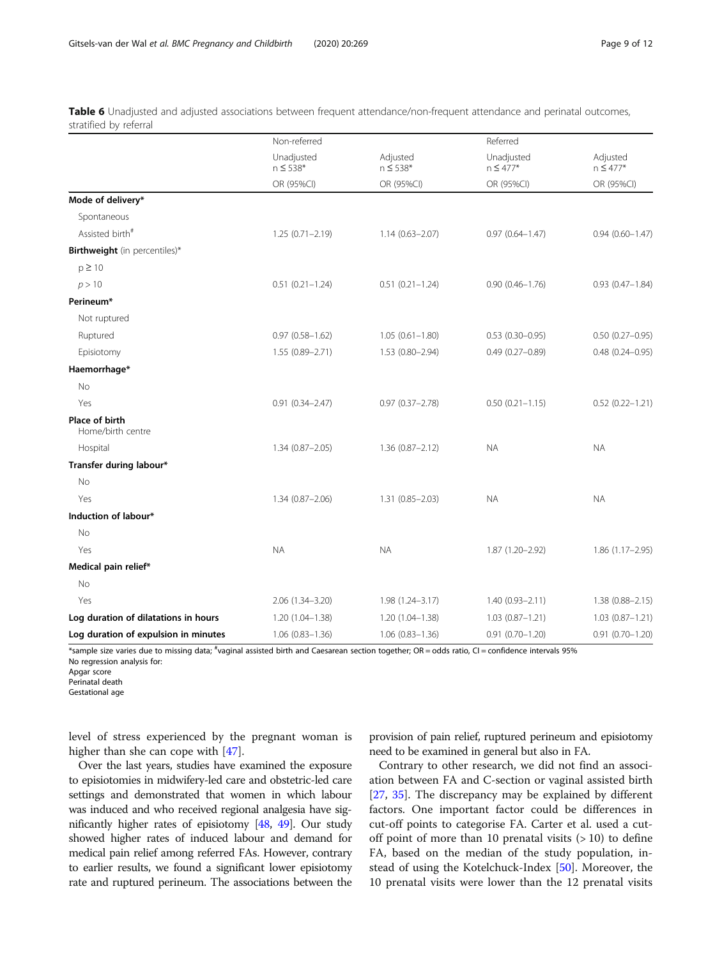|                                      | Non-referred               |                          | Referred                    |                           |
|--------------------------------------|----------------------------|--------------------------|-----------------------------|---------------------------|
|                                      | Unadjusted<br>$n \le 538*$ | Adjusted<br>$n \le 538*$ | Unadjusted<br>$n \leq 477*$ | Adjusted<br>$n \leq 477*$ |
|                                      | OR (95%CI)                 | OR (95%CI)               | OR (95%CI)                  | OR (95%CI)                |
| Mode of delivery*                    |                            |                          |                             |                           |
| Spontaneous                          |                            |                          |                             |                           |
| Assisted birth <sup>#</sup>          | $1.25(0.71 - 2.19)$        | $1.14(0.63 - 2.07)$      | $0.97(0.64 - 1.47)$         | $0.94(0.60 - 1.47)$       |
| Birthweight (in percentiles)*        |                            |                          |                             |                           |
| $p \geq 10$                          |                            |                          |                             |                           |
| p > 10                               | $0.51(0.21 - 1.24)$        | $0.51(0.21 - 1.24)$      | $0.90(0.46 - 1.76)$         | $0.93(0.47 - 1.84)$       |
| Perineum*                            |                            |                          |                             |                           |
| Not ruptured                         |                            |                          |                             |                           |
| Ruptured                             | $0.97(0.58 - 1.62)$        | $1.05(0.61 - 1.80)$      | $0.53(0.30 - 0.95)$         | $0.50(0.27 - 0.95)$       |
| Episiotomy                           | 1.55 (0.89-2.71)           | 1.53 (0.80-2.94)         | $0.49(0.27 - 0.89)$         | $0.48(0.24 - 0.95)$       |
| Haemorrhage*                         |                            |                          |                             |                           |
| No                                   |                            |                          |                             |                           |
| Yes                                  | $0.91(0.34 - 2.47)$        | $0.97(0.37 - 2.78)$      | $0.50(0.21 - 1.15)$         | $0.52(0.22 - 1.21)$       |
| Place of birth<br>Home/birth centre  |                            |                          |                             |                           |
| Hospital                             | $1.34(0.87 - 2.05)$        | $1.36(0.87 - 2.12)$      | <b>NA</b>                   | <b>NA</b>                 |
| Transfer during labour*              |                            |                          |                             |                           |
| <b>No</b>                            |                            |                          |                             |                           |
| Yes                                  | $1.34(0.87 - 2.06)$        | $1.31(0.85 - 2.03)$      | <b>NA</b>                   | <b>NA</b>                 |
| Induction of labour*                 |                            |                          |                             |                           |
| No                                   |                            |                          |                             |                           |
| Yes                                  | <b>NA</b>                  | <b>NA</b>                | 1.87 (1.20-2.92)            | $1.86(1.17-2.95)$         |
| Medical pain relief*                 |                            |                          |                             |                           |
| No                                   |                            |                          |                             |                           |
| Yes                                  | 2.06 (1.34-3.20)           | $1.98(1.24 - 3.17)$      | $1.40(0.93 - 2.11)$         | $1.38(0.88 - 2.15)$       |
| Log duration of dilatations in hours | 1.20 (1.04-1.38)           | $1.20(1.04 - 1.38)$      | $1.03(0.87 - 1.21)$         | $1.03(0.87 - 1.21)$       |
| Log duration of expulsion in minutes | $1.06$ $(0.83 - 1.36)$     | $1.06(0.83 - 1.36)$      | $0.91(0.70 - 1.20)$         | $0.91(0.70 - 1.20)$       |

<span id="page-8-0"></span>Table 6 Unadjusted and adjusted associations between frequent attendance/non-frequent attendance and perinatal outcomes, stratified by referral

 $^*$ sample size varies due to missing data;  $^{\#}$ vaginal assisted birth and Caesarean section together; OR = odds ratio, CI = confidence intervals 95% No regression analysis for:

Apgar score

Perinatal death

Gestational age

level of stress experienced by the pregnant woman is higher than she can cope with [[47](#page-11-0)].

provision of pain relief, ruptured perineum and episiotomy need to be examined in general but also in FA.

Over the last years, studies have examined the exposure to episiotomies in midwifery-led care and obstetric-led care settings and demonstrated that women in which labour was induced and who received regional analgesia have significantly higher rates of episiotomy [\[48,](#page-11-0) [49\]](#page-11-0). Our study showed higher rates of induced labour and demand for medical pain relief among referred FAs. However, contrary to earlier results, we found a significant lower episiotomy rate and ruptured perineum. The associations between the

Contrary to other research, we did not find an association between FA and C-section or vaginal assisted birth [[27,](#page-10-0) [35](#page-10-0)]. The discrepancy may be explained by different factors. One important factor could be differences in cut-off points to categorise FA. Carter et al. used a cutoff point of more than 10 prenatal visits  $(>10)$  to define FA, based on the median of the study population, instead of using the Kotelchuck-Index [[50](#page-11-0)]. Moreover, the 10 prenatal visits were lower than the 12 prenatal visits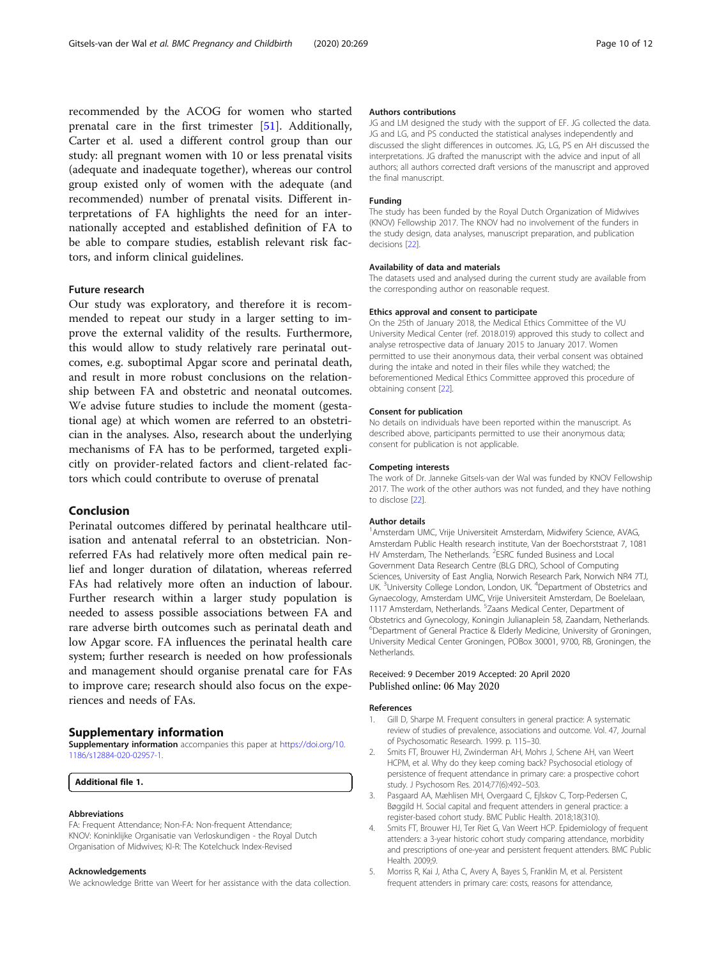<span id="page-9-0"></span>recommended by the ACOG for women who started prenatal care in the first trimester [[51](#page-11-0)]. Additionally, Carter et al. used a different control group than our study: all pregnant women with 10 or less prenatal visits (adequate and inadequate together), whereas our control group existed only of women with the adequate (and recommended) number of prenatal visits. Different interpretations of FA highlights the need for an internationally accepted and established definition of FA to be able to compare studies, establish relevant risk factors, and inform clinical guidelines.

#### Future research

Our study was exploratory, and therefore it is recommended to repeat our study in a larger setting to improve the external validity of the results. Furthermore, this would allow to study relatively rare perinatal outcomes, e.g. suboptimal Apgar score and perinatal death, and result in more robust conclusions on the relationship between FA and obstetric and neonatal outcomes. We advise future studies to include the moment (gestational age) at which women are referred to an obstetrician in the analyses. Also, research about the underlying mechanisms of FA has to be performed, targeted explicitly on provider-related factors and client-related factors which could contribute to overuse of prenatal

# Conclusion

Perinatal outcomes differed by perinatal healthcare utilisation and antenatal referral to an obstetrician. Nonreferred FAs had relatively more often medical pain relief and longer duration of dilatation, whereas referred FAs had relatively more often an induction of labour. Further research within a larger study population is needed to assess possible associations between FA and rare adverse birth outcomes such as perinatal death and low Apgar score. FA influences the perinatal health care system; further research is needed on how professionals and management should organise prenatal care for FAs to improve care; research should also focus on the experiences and needs of FAs.

# Supplementary information

Supplementary information accompanies this paper at [https://doi.org/10.](https://doi.org/10.1186/s12884-020-02957-1) [1186/s12884-020-02957-1](https://doi.org/10.1186/s12884-020-02957-1).

Additional file 1.

#### Abbreviations

FA: Frequent Attendance; Non-FA: Non-frequent Attendance; KNOV: Koninklijke Organisatie van Verloskundigen - the Royal Dutch Organisation of Midwives; KI-R: The Kotelchuck Index-Revised

#### Acknowledgements

We acknowledge Britte van Weert for her assistance with the data collection.

#### Authors contributions

JG and LM designed the study with the support of EF. JG collected the data. JG and LG, and PS conducted the statistical analyses independently and discussed the slight differences in outcomes. JG, LG, PS en AH discussed the interpretations. JG drafted the manuscript with the advice and input of all authors; all authors corrected draft versions of the manuscript and approved the final manuscript.

#### Funding

The study has been funded by the Royal Dutch Organization of Midwives (KNOV) Fellowship 2017. The KNOV had no involvement of the funders in the study design, data analyses, manuscript preparation, and publication decisions [\[22\]](#page-10-0).

#### Availability of data and materials

The datasets used and analysed during the current study are available from the corresponding author on reasonable request.

#### Ethics approval and consent to participate

On the 25th of January 2018, the Medical Ethics Committee of the VU University Medical Center (ref. 2018.019) approved this study to collect and analyse retrospective data of January 2015 to January 2017. Women permitted to use their anonymous data, their verbal consent was obtained during the intake and noted in their files while they watched; the beforementioned Medical Ethics Committee approved this procedure of obtaining consent [[22](#page-10-0)].

#### Consent for publication

No details on individuals have been reported within the manuscript. As described above, participants permitted to use their anonymous data; consent for publication is not applicable.

#### Competing interests

The work of Dr. Janneke Gitsels-van der Wal was funded by KNOV Fellowship 2017. The work of the other authors was not funded, and they have nothing to disclose [[22](#page-10-0)].

#### Author details

<sup>1</sup> Amsterdam UMC, Vrije Universiteit Amsterdam, Midwifery Science, AVAG, Amsterdam Public Health research institute, Van der Boechorststraat 7, 1081 HV Amsterdam, The Netherlands. <sup>2</sup>ESRC funded Business and Local Government Data Research Centre (BLG DRC), School of Computing Sciences, University of East Anglia, Norwich Research Park, Norwich NR4 7TJ, UK.<sup>3</sup> University College London, London, UK.<sup>4</sup> Department of Obstetrics and Gynaecology, Amsterdam UMC, Vrije Universiteit Amsterdam, De Boelelaan, 1117 Amsterdam, Netherlands. <sup>5</sup>Zaans Medical Center, Department of Obstetrics and Gynecology, Koningin Julianaplein 58, Zaandam, Netherlands. 6 Department of General Practice & Elderly Medicine, University of Groningen, University Medical Center Groningen, POBox 30001, 9700, RB, Groningen, the **Netherlands** 

#### Received: 9 December 2019 Accepted: 20 April 2020 Published online: 06 May 2020

#### References

- 1. Gill D, Sharpe M. Frequent consulters in general practice: A systematic review of studies of prevalence, associations and outcome. Vol. 47, Journal of Psychosomatic Research. 1999. p. 115–30.
- 2. Smits FT, Brouwer HJ, Zwinderman AH, Mohrs J, Schene AH, van Weert HCPM, et al. Why do they keep coming back? Psychosocial etiology of persistence of frequent attendance in primary care: a prospective cohort study. J Psychosom Res. 2014;77(6):492–503.
- 3. Pasgaard AA, Mæhlisen MH, Overgaard C, Ejlskov C, Torp-Pedersen C, Bøggild H. Social capital and frequent attenders in general practice: a register-based cohort study. BMC Public Health. 2018;18(310).
- 4. Smits FT, Brouwer HJ, Ter Riet G, Van Weert HCP. Epidemiology of frequent attenders: a 3-year historic cohort study comparing attendance, morbidity and prescriptions of one-year and persistent frequent attenders. BMC Public Health. 2009;9.
- 5. Morriss R, Kai J, Atha C, Avery A, Bayes S, Franklin M, et al. Persistent frequent attenders in primary care: costs, reasons for attendance,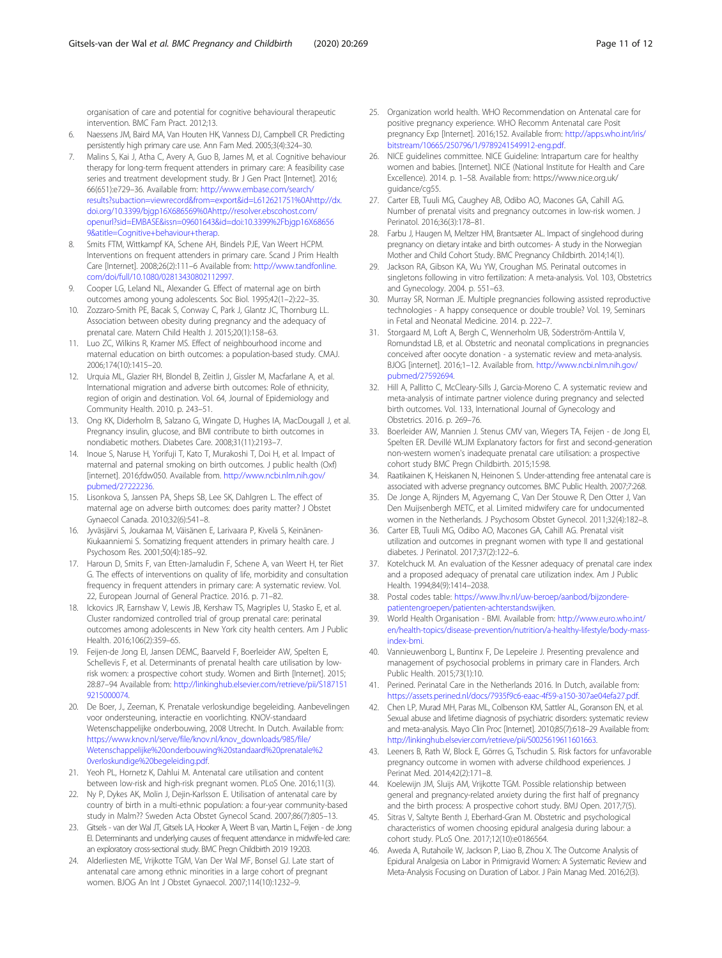<span id="page-10-0"></span>organisation of care and potential for cognitive behavioural therapeutic intervention. BMC Fam Pract. 2012;13.

- 6. Naessens JM, Baird MA, Van Houten HK, Vanness DJ, Campbell CR. Predicting persistently high primary care use. Ann Fam Med. 2005;3(4):324–30.
- 7. Malins S, Kai J, Atha C, Avery A, Guo B, James M, et al. Cognitive behaviour therapy for long-term frequent attenders in primary care: A feasibility case series and treatment development study. Br J Gen Pract [Internet]. 2016; 66(651):e729–36. Available from: [http://www.embase.com/search/](http://www.embase.com/search/results?subaction=viewrecord&from=export&id=L612621751%0Ahttp://dx.doi.org/10.3399/bjgp16X686569%0Ahttp://resolver.ebscohost.com/openurl?sid=EMBASE&issn=09601643&id=doi:10.3399%2Fbjgp16X686569&atitle=Cognitive+behaviour+therap) [results?subaction=viewrecord&from=export&id=L612621751%0Ahttp://dx.](http://www.embase.com/search/results?subaction=viewrecord&from=export&id=L612621751%0Ahttp://dx.doi.org/10.3399/bjgp16X686569%0Ahttp://resolver.ebscohost.com/openurl?sid=EMBASE&issn=09601643&id=doi:10.3399%2Fbjgp16X686569&atitle=Cognitive+behaviour+therap) [doi.org/10.3399/bjgp16X686569%0Ahttp://resolver.ebscohost.com/](http://www.embase.com/search/results?subaction=viewrecord&from=export&id=L612621751%0Ahttp://dx.doi.org/10.3399/bjgp16X686569%0Ahttp://resolver.ebscohost.com/openurl?sid=EMBASE&issn=09601643&id=doi:10.3399%2Fbjgp16X686569&atitle=Cognitive+behaviour+therap) [openurl?sid=EMBASE&issn=09601643&id=doi:10.3399%2Fbjgp16X68656](http://www.embase.com/search/results?subaction=viewrecord&from=export&id=L612621751%0Ahttp://dx.doi.org/10.3399/bjgp16X686569%0Ahttp://resolver.ebscohost.com/openurl?sid=EMBASE&issn=09601643&id=doi:10.3399%2Fbjgp16X686569&atitle=Cognitive+behaviour+therap) [9&atitle=Cognitive+behaviour+therap.](http://www.embase.com/search/results?subaction=viewrecord&from=export&id=L612621751%0Ahttp://dx.doi.org/10.3399/bjgp16X686569%0Ahttp://resolver.ebscohost.com/openurl?sid=EMBASE&issn=09601643&id=doi:10.3399%2Fbjgp16X686569&atitle=Cognitive+behaviour+therap)
- 8. Smits FTM, Wittkampf KA, Schene AH, Bindels PJE, Van Weert HCPM. Interventions on frequent attenders in primary care. Scand J Prim Health Care [Internet]. 2008;26(2):111–6 Available from: [http://www.tandfonline.](http://www.tandfonline.com/doi/full/10.1080/02813430802112997) [com/doi/full/10.1080/02813430802112997.](http://www.tandfonline.com/doi/full/10.1080/02813430802112997)
- 9. Cooper LG, Leland NL, Alexander G. Effect of maternal age on birth outcomes among young adolescents. Soc Biol. 1995;42(1–2):22–35.
- 10. Zozzaro-Smith PE, Bacak S, Conway C, Park J, Glantz JC, Thornburg LL. Association between obesity during pregnancy and the adequacy of prenatal care. Matern Child Health J. 2015;20(1):158–63.
- 11. Luo ZC, Wilkins R, Kramer MS. Effect of neighbourhood income and maternal education on birth outcomes: a population-based study. CMAJ. 2006;174(10):1415–20.
- 12. Urquia ML, Glazier RH, Blondel B, Zeitlin J, Gissler M, Macfarlane A, et al. International migration and adverse birth outcomes: Role of ethnicity, region of origin and destination. Vol. 64, Journal of Epidemiology and Community Health. 2010. p. 243–51.
- 13. Ong KK, Diderholm B, Salzano G, Wingate D, Hughes IA, MacDougall J, et al. Pregnancy insulin, glucose, and BMI contribute to birth outcomes in nondiabetic mothers. Diabetes Care. 2008;31(11):2193–7.
- 14. Inoue S, Naruse H, Yorifuji T, Kato T, Murakoshi T, Doi H, et al. Impact of maternal and paternal smoking on birth outcomes. J public health (Oxf) [internet]. 2016;fdw050. Available from. [http://www.ncbi.nlm.nih.gov/](http://www.ncbi.nlm.nih.gov/pubmed/27222236) [pubmed/27222236.](http://www.ncbi.nlm.nih.gov/pubmed/27222236)
- 15. Lisonkova S, Janssen PA, Sheps SB, Lee SK, Dahlgren L. The effect of maternal age on adverse birth outcomes: does parity matter? J Obstet Gynaecol Canada. 2010;32(6):541–8.
- 16. Jyväsjärvi S, Joukamaa M, Väisänen E, Larivaara P, Kivelä S, Keinänen-Kiukaanniemi S. Somatizing frequent attenders in primary health care. J Psychosom Res. 2001;50(4):185–92.
- 17. Haroun D, Smits F, van Etten-Jamaludin F, Schene A, van Weert H, ter Riet G. The effects of interventions on quality of life, morbidity and consultation frequency in frequent attenders in primary care: A systematic review. Vol. 22, European Journal of General Practice. 2016. p. 71–82.
- 18. Ickovics JR, Earnshaw V, Lewis JB, Kershaw TS, Magriples U, Stasko E, et al. Cluster randomized controlled trial of group prenatal care: perinatal outcomes among adolescents in New York city health centers. Am J Public Health. 2016;106(2):359–65.
- 19. Feijen-de Jong EI, Jansen DEMC, Baarveld F, Boerleider AW, Spelten E, Schellevis F, et al. Determinants of prenatal health care utilisation by lowrisk women: a prospective cohort study. Women and Birth [Internet]. 2015; 28:87–94 Available from: [http://linkinghub.elsevier.com/retrieve/pii/S187151](http://linkinghub.elsevier.com/retrieve/pii/S1871519215000074) [9215000074.](http://linkinghub.elsevier.com/retrieve/pii/S1871519215000074)
- 20. De Boer, J., Zeeman, K. Prenatale verloskundige begeleiding. Aanbevelingen voor ondersteuning, interactie en voorlichting. KNOV-standaard Wetenschappelijke onderbouwing, 2008 Utrecht. In Dutch. Available from: [https://www.knov.nl/serve/file/knov.nl/knov\\_downloads/985/file/](https://www.knov.nl/serve/file/knov.nl/knov_downloads/985/file/Wetenschappelijke%2520onderbouwing%2520standaard%2520prenatale%2520verloskundige%2520begeleiding.pdf) [Wetenschappelijke%20onderbouwing%20standaard%20prenatale%2](https://www.knov.nl/serve/file/knov.nl/knov_downloads/985/file/Wetenschappelijke%2520onderbouwing%2520standaard%2520prenatale%2520verloskundige%2520begeleiding.pdf) [0verloskundige%20begeleiding.pdf](https://www.knov.nl/serve/file/knov.nl/knov_downloads/985/file/Wetenschappelijke%2520onderbouwing%2520standaard%2520prenatale%2520verloskundige%2520begeleiding.pdf).
- 21. Yeoh PL, Hornetz K, Dahlui M. Antenatal care utilisation and content between low-risk and high-risk pregnant women. PLoS One. 2016;11(3).
- 22. Ny P, Dykes AK, Molin J, Dejin-Karlsson E. Utilisation of antenatal care by country of birth in a multi-ethnic population: a four-year community-based study in Malm?? Sweden Acta Obstet Gynecol Scand. 2007;86(7):805–13.
- 23. Gitsels van der Wal JT, Gitsels LA, Hooker A, Weert B van, Martin L, Feijen de Jong EI. Determinants and underlying causes of frequent attendance in midwife-led care: an exploratory cross-sectional study. BMC Pregn Childbirth 2019 19:203.
- 24. Alderliesten ME, Vrijkotte TGM, Van Der Wal MF, Bonsel GJ. Late start of antenatal care among ethnic minorities in a large cohort of pregnant women. BJOG An Int J Obstet Gynaecol. 2007;114(10):1232–9.
- 25. Organization world health. WHO Recommendation on Antenatal care for positive pregnancy experience. WHO Recomm Antenatal care Posit pregnancy Exp [Internet]. 2016;152. Available from: [http://apps.who.int/iris/](http://apps.who.int/iris/bitstream/10665/250796/1/9789241549912-eng.pdf) [bitstream/10665/250796/1/9789241549912-eng.pdf](http://apps.who.int/iris/bitstream/10665/250796/1/9789241549912-eng.pdf).
- 26. NICE guidelines committee. NICE Guideline: Intrapartum care for healthy women and babies. [Internet]. NICE (National Institute for Health and Care Excellence). 2014. p. 1–58. Available from: https://www.nice.org.uk/ quidance/cg55
- 27. Carter EB, Tuuli MG, Caughey AB, Odibo AO, Macones GA, Cahill AG. Number of prenatal visits and pregnancy outcomes in low-risk women. J Perinatol. 2016;36(3):178–81.
- 28. Farbu J, Haugen M, Meltzer HM, Brantsæter AL. Impact of singlehood during pregnancy on dietary intake and birth outcomes- A study in the Norwegian Mother and Child Cohort Study. BMC Pregnancy Childbirth. 2014;14(1).
- 29. Jackson RA, Gibson KA, Wu YW, Croughan MS. Perinatal outcomes in singletons following in vitro fertilization: A meta-analysis. Vol. 103, Obstetrics and Gynecology. 2004. p. 551–63.
- 30. Murray SR, Norman JE. Multiple pregnancies following assisted reproductive technologies - A happy consequence or double trouble? Vol. 19, Seminars in Fetal and Neonatal Medicine. 2014. p. 222–7.
- 31. Storgaard M, Loft A, Bergh C, Wennerholm UB, Söderström-Anttila V, Romundstad LB, et al. Obstetric and neonatal complications in pregnancies conceived after oocyte donation - a systematic review and meta-analysis. BJOG [internet]. 2016;1–12. Available from. [http://www.ncbi.nlm.nih.gov/](http://www.ncbi.nlm.nih.gov/pubmed/27592694) [pubmed/27592694.](http://www.ncbi.nlm.nih.gov/pubmed/27592694)
- 32. Hill A, Pallitto C, McCleary-Sills J, Garcia-Moreno C. A systematic review and meta-analysis of intimate partner violence during pregnancy and selected birth outcomes. Vol. 133, International Journal of Gynecology and Obstetrics. 2016. p. 269–76.
- 33. Boerleider AW, Mannien J. Stenus CMV van, Wiegers TA, Feijen de Jong EI, Spelten ER. Devillé WLJM Explanatory factors for first and second-generation non-western women's inadequate prenatal care utilisation: a prospective cohort study BMC Pregn Childbirth. 2015;15:98.
- 34. Raatikainen K, Heiskanen N, Heinonen S. Under-attending free antenatal care is associated with adverse pregnancy outcomes. BMC Public Health. 2007;7:268.
- 35. De Jonge A, Rijnders M, Agyemang C, Van Der Stouwe R, Den Otter J, Van Den Muijsenbergh METC, et al. Limited midwifery care for undocumented women in the Netherlands. J Psychosom Obstet Gynecol. 2011;32(4):182–8.
- 36. Carter EB, Tuuli MG, Odibo AO, Macones GA, Cahill AG. Prenatal visit utilization and outcomes in pregnant women with type II and gestational diabetes. J Perinatol. 2017;37(2):122–6.
- 37. Kotelchuck M. An evaluation of the Kessner adequacy of prenatal care index and a proposed adequacy of prenatal care utilization index. Am J Public Health. 1994;84(9):1414–2038.
- 38. Postal codes table: [https://www.lhv.nl/uw-beroep/aanbod/bijzondere](https://www.lhv.nl/uw-beroep/aanbod/bijzondere-patientengroepen/patienten-achterstandswijken)[patientengroepen/patienten-achterstandswijken](https://www.lhv.nl/uw-beroep/aanbod/bijzondere-patientengroepen/patienten-achterstandswijken).
- 39. World Health Organisation BMI. Available from: [http://www.euro.who.int/](http://www.euro.who.int/en/health-topics/disease-prevention/nutrition/a-healthy-lifestyle/body-mass-index-bmi) [en/health-topics/disease-prevention/nutrition/a-healthy-lifestyle/body-mass](http://www.euro.who.int/en/health-topics/disease-prevention/nutrition/a-healthy-lifestyle/body-mass-index-bmi)[index-bmi](http://www.euro.who.int/en/health-topics/disease-prevention/nutrition/a-healthy-lifestyle/body-mass-index-bmi).
- 40. Vannieuwenborg L, Buntinx F, De Lepeleire J. Presenting prevalence and management of psychosocial problems in primary care in Flanders. Arch Public Health. 2015;73(1):10.
- 41. Perined. Perinatal Care in the Netherlands 2016. In Dutch, available from: [https://assets.perined.nl/docs/7935f9c6-eaac-4f59-a150-307ae04efa27.pdf.](https://assets.perined.nl/docs/7935f9c6-eaac-4f59-a150-307ae04efa27.pdf)
- 42. Chen LP, Murad MH, Paras ML, Colbenson KM, Sattler AL, Goranson EN, et al. Sexual abuse and lifetime diagnosis of psychiatric disorders: systematic review and meta-analysis. Mayo Clin Proc [Internet]. 2010;85(7):618–29 Available from: [http://linkinghub.elsevier.com/retrieve/pii/S0025619611601663.](http://linkinghub.elsevier.com/retrieve/pii/S0025619611601663)
- 43. Leeners B, Rath W, Block E, Görres G, Tschudin S. Risk factors for unfavorable pregnancy outcome in women with adverse childhood experiences. J Perinat Med. 2014;42(2):171–8.
- 44. Koelewijn JM, Sluijs AM, Vrijkotte TGM. Possible relationship between general and pregnancy-related anxiety during the first half of pregnancy and the birth process: A prospective cohort study. BMJ Open. 2017;7(5).
- 45. Sitras V, Saltyte Benth J, Eberhard-Gran M. Obstetric and psychological characteristics of women choosing epidural analgesia during labour: a cohort study. PLoS One. 2017;12(10):e0186564.
- 46. Aweda A, Rutahoile W, Jackson P, Liao B, Zhou X. The Outcome Analysis of Epidural Analgesia on Labor in Primigravid Women: A Systematic Review and Meta-Analysis Focusing on Duration of Labor. J Pain Manag Med. 2016;2(3).